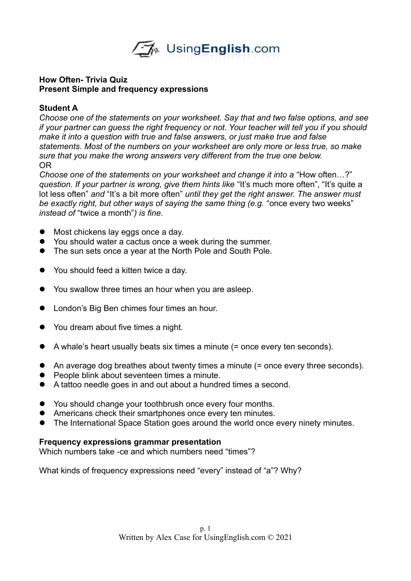

## **How Often- Trivia Quiz Present Simple and frequency expressions**

## **Student A**

*Choose one of the statements on your worksheet. Say that and two false options, and see if your partner can guess the right frequency or not. Your teacher will tell you if you should make it into a question with true and false answers, or just make true and false statements. Most of the numbers on your worksheet are only more or less true, so make sure that you make the wrong answers very different from the true one below.*  OR

*Choose one of the statements on your worksheet and change it into a* "How often…?" *question. If your partner is wrong, give them hints like* "It's much more often", "It's quite a lot less often" *and* "It's a bit more often" *until they get the right answer. The answer must be exactly right, but other ways of saying the same thing (e.g.* "once every two weeks" *instead of* "twice a month"*) is fine.* 

- $\bullet$  Most chickens lay eggs once a day.
- You should water a cactus once a week during the summer.
- The sun sets once a year at the North Pole and South Pole.
- You should feed a kitten twice a day.
- You swallow three times an hour when you are asleep.
- **•** London's Big Ben chimes four times an hour.
- You dream about five times a night.
- $\bullet$  A whale's heart usually beats six times a minute (= once every ten seconds).
- An average dog breathes about twenty times a minute (= once every three seconds).
- People blink about seventeen times a minute.
- A tattoo needle goes in and out about a hundred times a second.
- You should change your toothbrush once every four months.
- Americans check their smartphones once every ten minutes.
- The International Space Station goes around the world once every ninety minutes.

### **Frequency expressions grammar presentation**

Which numbers take -ce and which numbers need "times"?

What kinds of frequency expressions need "every" instead of "a"? Why?